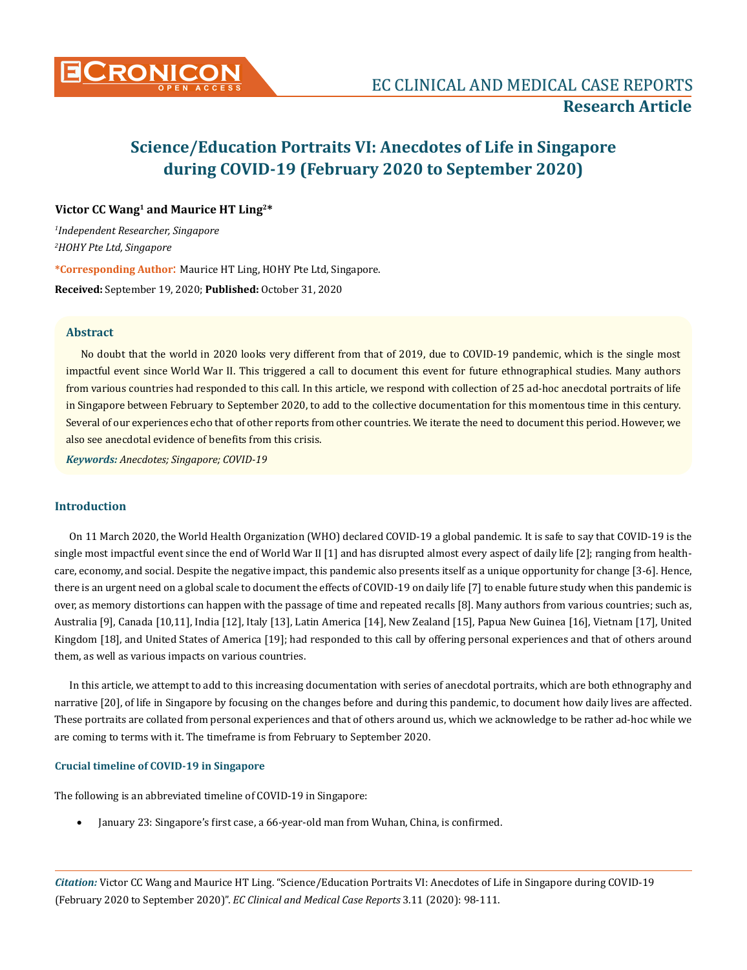

## **Victor CC Wang1 and Maurice HT Ling2\***

*1 Independent Researcher, Singapore 2 HOHY Pte Ltd, Singapore* **\*Corresponding Author**: Maurice HT Ling, HOHY Pte Ltd, Singapore.

**Received:** September 19, 2020; **Published:** October 31, 2020

#### **Abstract**

No doubt that the world in 2020 looks very different from that of 2019, due to COVID-19 pandemic, which is the single most impactful event since World War II. This triggered a call to document this event for future ethnographical studies. Many authors from various countries had responded to this call. In this article, we respond with collection of 25 ad-hoc anecdotal portraits of life in Singapore between February to September 2020, to add to the collective documentation for this momentous time in this century. Several of our experiences echo that of other reports from other countries. We iterate the need to document this period. However, we also see anecdotal evidence of benefits from this crisis.

*Keywords: Anecdotes; Singapore; COVID-19*

## **Introduction**

On 11 March 2020, the World Health Organization (WHO) declared COVID-19 a global pandemic. It is safe to say that COVID-19 is the single most impactful event since the end of World War II [1] and has disrupted almost every aspect of daily life [2]; ranging from healthcare, economy, and social. Despite the negative impact, this pandemic also presents itself as a unique opportunity for change [3-6]. Hence, there is an urgent need on a global scale to document the effects of COVID-19 on daily life [7] to enable future study when this pandemic is over, as memory distortions can happen with the passage of time and repeated recalls [8]. Many authors from various countries; such as, Australia [9], Canada [10,11], India [12], Italy [13], Latin America [14], New Zealand [15], Papua New Guinea [16], Vietnam [17], United Kingdom [18], and United States of America [19]; had responded to this call by offering personal experiences and that of others around them, as well as various impacts on various countries.

In this article, we attempt to add to this increasing documentation with series of anecdotal portraits, which are both ethnography and narrative [20], of life in Singapore by focusing on the changes before and during this pandemic, to document how daily lives are affected. These portraits are collated from personal experiences and that of others around us, which we acknowledge to be rather ad-hoc while we are coming to terms with it. The timeframe is from February to September 2020.

## **Crucial timeline of COVID-19 in Singapore**

The following is an abbreviated timeline of COVID-19 in Singapore:

January 23: Singapore's first case, a 66-year-old man from Wuhan, China, is confirmed.

*Citation:* Victor CC Wang and Maurice HT Ling. "Science/Education Portraits VI: Anecdotes of Life in Singapore during COVID-19 (February 2020 to September 2020)". *EC Clinical and Medical Case Reports* 3.11 (2020): 98-111.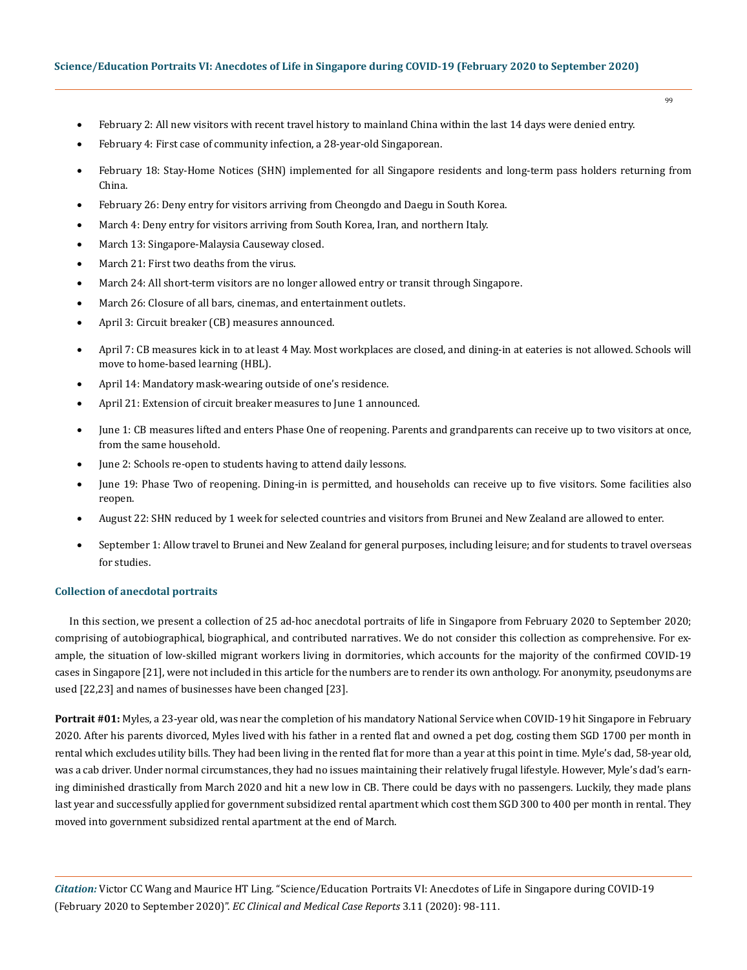- 99
- February 2: All new visitors with recent travel history to mainland China within the last 14 days were denied entry.
- February 4: First case of community infection, a 28-year-old Singaporean.
- February 18: Stay-Home Notices (SHN) implemented for all Singapore residents and long-term pass holders returning from China.
- February 26: Deny entry for visitors arriving from Cheongdo and Daegu in South Korea.
- March 4: Deny entry for visitors arriving from South Korea, Iran, and northern Italy.
- March 13: Singapore-Malaysia Causeway closed.
- March 21: First two deaths from the virus.
- March 24: All short-term visitors are no longer allowed entry or transit through Singapore.
- March 26: Closure of all bars, cinemas, and entertainment outlets.
- April 3: Circuit breaker (CB) measures announced.
- April 7: CB measures kick in to at least 4 May. Most workplaces are closed, and dining-in at eateries is not allowed. Schools will move to home-based learning (HBL).
- April 14: Mandatory mask-wearing outside of one's residence.
- April 21: Extension of circuit breaker measures to June 1 announced.
- June 1: CB measures lifted and enters Phase One of reopening. Parents and grandparents can receive up to two visitors at once, from the same household.
- June 2: Schools re-open to students having to attend daily lessons.
- June 19: Phase Two of reopening. Dining-in is permitted, and households can receive up to five visitors. Some facilities also reopen.
- August 22: SHN reduced by 1 week for selected countries and visitors from Brunei and New Zealand are allowed to enter.
- September 1: Allow travel to Brunei and New Zealand for general purposes, including leisure; and for students to travel overseas for studies.

# **Collection of anecdotal portraits**

In this section, we present a collection of 25 ad-hoc anecdotal portraits of life in Singapore from February 2020 to September 2020; comprising of autobiographical, biographical, and contributed narratives. We do not consider this collection as comprehensive. For example, the situation of low-skilled migrant workers living in dormitories, which accounts for the majority of the confirmed COVID-19 cases in Singapore [21], were not included in this article for the numbers are to render its own anthology. For anonymity, pseudonyms are used [22,23] and names of businesses have been changed [23].

**Portrait #01:** Myles, a 23-year old, was near the completion of his mandatory National Service when COVID-19 hit Singapore in February 2020. After his parents divorced, Myles lived with his father in a rented flat and owned a pet dog, costing them SGD 1700 per month in rental which excludes utility bills. They had been living in the rented flat for more than a year at this point in time. Myle's dad, 58-year old, was a cab driver. Under normal circumstances, they had no issues maintaining their relatively frugal lifestyle. However, Myle's dad's earning diminished drastically from March 2020 and hit a new low in CB. There could be days with no passengers. Luckily, they made plans last year and successfully applied for government subsidized rental apartment which cost them SGD 300 to 400 per month in rental. They moved into government subsidized rental apartment at the end of March.

*Citation:* Victor CC Wang and Maurice HT Ling. "Science/Education Portraits VI: Anecdotes of Life in Singapore during COVID-19 (February 2020 to September 2020)". *EC Clinical and Medical Case Reports* 3.11 (2020): 98-111.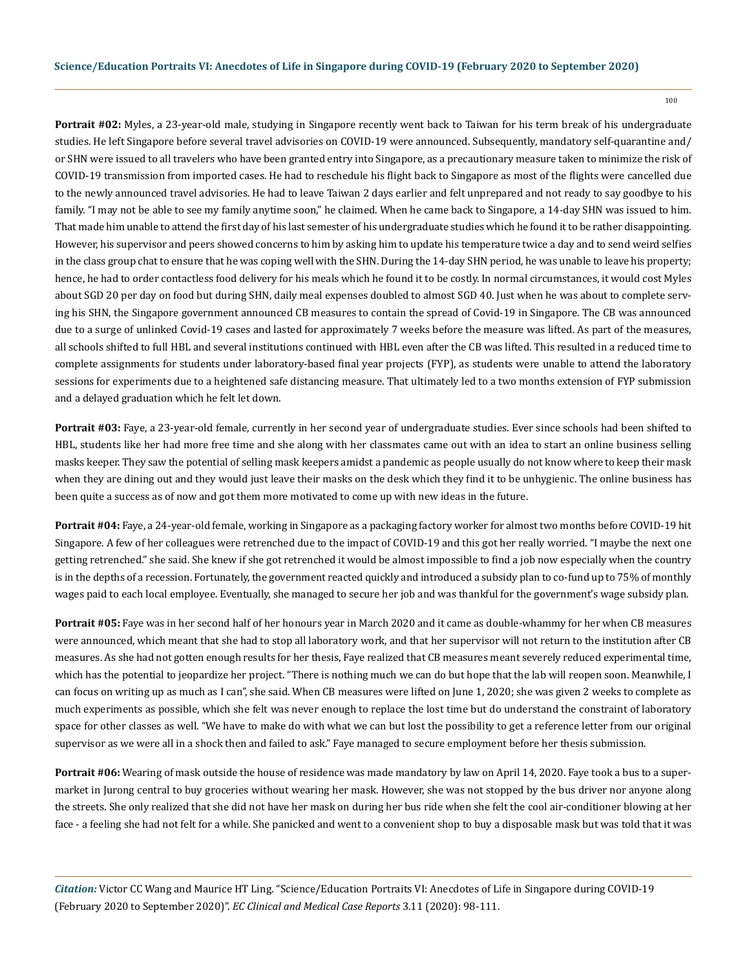100

**Portrait #02:** Myles, a 23-year-old male, studying in Singapore recently went back to Taiwan for his term break of his undergraduate studies. He left Singapore before several travel advisories on COVID-19 were announced. Subsequently, mandatory self-quarantine and/ or SHN were issued to all travelers who have been granted entry into Singapore, as a precautionary measure taken to minimize the risk of COVID-19 transmission from imported cases. He had to reschedule his flight back to Singapore as most of the flights were cancelled due to the newly announced travel advisories. He had to leave Taiwan 2 days earlier and felt unprepared and not ready to say goodbye to his family. "I may not be able to see my family anytime soon," he claimed. When he came back to Singapore, a 14-day SHN was issued to him. That made him unable to attend the first day of his last semester of his undergraduate studies which he found it to be rather disappointing. However, his supervisor and peers showed concerns to him by asking him to update his temperature twice a day and to send weird selfies in the class group chat to ensure that he was coping well with the SHN. During the 14-day SHN period, he was unable to leave his property; hence, he had to order contactless food delivery for his meals which he found it to be costly. In normal circumstances, it would cost Myles about SGD 20 per day on food but during SHN, daily meal expenses doubled to almost SGD 40. Just when he was about to complete serving his SHN, the Singapore government announced CB measures to contain the spread of Covid-19 in Singapore. The CB was announced due to a surge of unlinked Covid-19 cases and lasted for approximately 7 weeks before the measure was lifted. As part of the measures, all schools shifted to full HBL and several institutions continued with HBL even after the CB was lifted. This resulted in a reduced time to complete assignments for students under laboratory-based final year projects (FYP), as students were unable to attend the laboratory sessions for experiments due to a heightened safe distancing measure. That ultimately led to a two months extension of FYP submission and a delayed graduation which he felt let down.

**Portrait #03:** Faye, a 23-year-old female, currently in her second year of undergraduate studies. Ever since schools had been shifted to HBL, students like her had more free time and she along with her classmates came out with an idea to start an online business selling masks keeper. They saw the potential of selling mask keepers amidst a pandemic as people usually do not know where to keep their mask when they are dining out and they would just leave their masks on the desk which they find it to be unhygienic. The online business has been quite a success as of now and got them more motivated to come up with new ideas in the future.

**Portrait #04:** Faye, a 24-year-old female, working in Singapore as a packaging factory worker for almost two months before COVID-19 hit Singapore. A few of her colleagues were retrenched due to the impact of COVID-19 and this got her really worried. "I maybe the next one getting retrenched." she said. She knew if she got retrenched it would be almost impossible to find a job now especially when the country is in the depths of a recession. Fortunately, the government reacted quickly and introduced a subsidy plan to co-fund up to 75% of monthly wages paid to each local employee. Eventually, she managed to secure her job and was thankful for the government's wage subsidy plan.

**Portrait #05:** Faye was in her second half of her honours year in March 2020 and it came as double-whammy for her when CB measures were announced, which meant that she had to stop all laboratory work, and that her supervisor will not return to the institution after CB measures. As she had not gotten enough results for her thesis, Faye realized that CB measures meant severely reduced experimental time, which has the potential to jeopardize her project. "There is nothing much we can do but hope that the lab will reopen soon. Meanwhile, I can focus on writing up as much as I can", she said. When CB measures were lifted on June 1, 2020; she was given 2 weeks to complete as much experiments as possible, which she felt was never enough to replace the lost time but do understand the constraint of laboratory space for other classes as well. "We have to make do with what we can but lost the possibility to get a reference letter from our original supervisor as we were all in a shock then and failed to ask." Faye managed to secure employment before her thesis submission.

**Portrait #06:** Wearing of mask outside the house of residence was made mandatory by law on April 14, 2020. Faye took a bus to a supermarket in Jurong central to buy groceries without wearing her mask. However, she was not stopped by the bus driver nor anyone along the streets. She only realized that she did not have her mask on during her bus ride when she felt the cool air-conditioner blowing at her face - a feeling she had not felt for a while. She panicked and went to a convenient shop to buy a disposable mask but was told that it was

*Citation:* Victor CC Wang and Maurice HT Ling. "Science/Education Portraits VI: Anecdotes of Life in Singapore during COVID-19 (February 2020 to September 2020)". *EC Clinical and Medical Case Reports* 3.11 (2020): 98-111.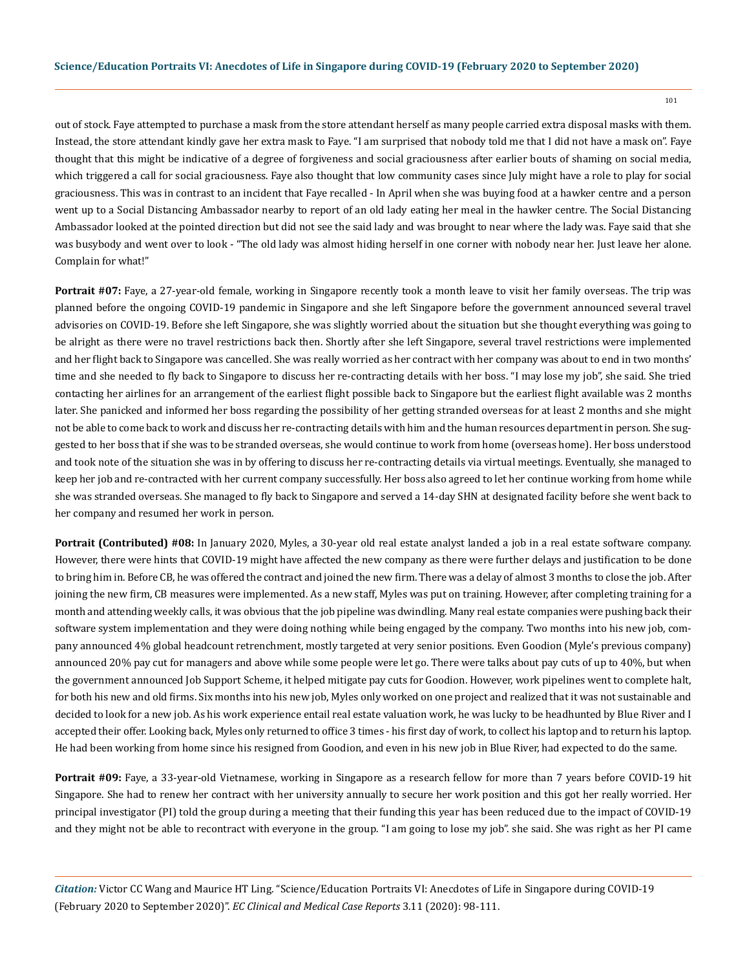out of stock. Faye attempted to purchase a mask from the store attendant herself as many people carried extra disposal masks with them. Instead, the store attendant kindly gave her extra mask to Faye. "I am surprised that nobody told me that I did not have a mask on". Faye thought that this might be indicative of a degree of forgiveness and social graciousness after earlier bouts of shaming on social media, which triggered a call for social graciousness. Faye also thought that low community cases since July might have a role to play for social graciousness. This was in contrast to an incident that Faye recalled - In April when she was buying food at a hawker centre and a person went up to a Social Distancing Ambassador nearby to report of an old lady eating her meal in the hawker centre. The Social Distancing Ambassador looked at the pointed direction but did not see the said lady and was brought to near where the lady was. Faye said that she was busybody and went over to look - "The old lady was almost hiding herself in one corner with nobody near her. Just leave her alone. Complain for what!"

**Portrait #07:** Faye, a 27-year-old female, working in Singapore recently took a month leave to visit her family overseas. The trip was planned before the ongoing COVID-19 pandemic in Singapore and she left Singapore before the government announced several travel advisories on COVID-19. Before she left Singapore, she was slightly worried about the situation but she thought everything was going to be alright as there were no travel restrictions back then. Shortly after she left Singapore, several travel restrictions were implemented and her flight back to Singapore was cancelled. She was really worried as her contract with her company was about to end in two months' time and she needed to fly back to Singapore to discuss her re-contracting details with her boss. "I may lose my job", she said. She tried contacting her airlines for an arrangement of the earliest flight possible back to Singapore but the earliest flight available was 2 months later. She panicked and informed her boss regarding the possibility of her getting stranded overseas for at least 2 months and she might not be able to come back to work and discuss her re-contracting details with him and the human resources department in person. She suggested to her boss that if she was to be stranded overseas, she would continue to work from home (overseas home). Her boss understood and took note of the situation she was in by offering to discuss her re-contracting details via virtual meetings. Eventually, she managed to keep her job and re-contracted with her current company successfully. Her boss also agreed to let her continue working from home while she was stranded overseas. She managed to fly back to Singapore and served a 14-day SHN at designated facility before she went back to her company and resumed her work in person.

**Portrait (Contributed) #08:** In January 2020, Myles, a 30-year old real estate analyst landed a job in a real estate software company. However, there were hints that COVID-19 might have affected the new company as there were further delays and justification to be done to bring him in. Before CB, he was offered the contract and joined the new firm. There was a delay of almost 3 months to close the job. After joining the new firm, CB measures were implemented. As a new staff, Myles was put on training. However, after completing training for a month and attending weekly calls, it was obvious that the job pipeline was dwindling. Many real estate companies were pushing back their software system implementation and they were doing nothing while being engaged by the company. Two months into his new job, company announced 4% global headcount retrenchment, mostly targeted at very senior positions. Even Goodion (Myle's previous company) announced 20% pay cut for managers and above while some people were let go. There were talks about pay cuts of up to 40%, but when the government announced Job Support Scheme, it helped mitigate pay cuts for Goodion. However, work pipelines went to complete halt, for both his new and old firms. Six months into his new job, Myles only worked on one project and realized that it was not sustainable and decided to look for a new job. As his work experience entail real estate valuation work, he was lucky to be headhunted by Blue River and I accepted their offer. Looking back, Myles only returned to office 3 times - his first day of work, to collect his laptop and to return his laptop. He had been working from home since his resigned from Goodion, and even in his new job in Blue River, had expected to do the same.

**Portrait #09:** Faye, a 33-year-old Vietnamese, working in Singapore as a research fellow for more than 7 years before COVID-19 hit Singapore. She had to renew her contract with her university annually to secure her work position and this got her really worried. Her principal investigator (PI) told the group during a meeting that their funding this year has been reduced due to the impact of COVID-19 and they might not be able to recontract with everyone in the group. "I am going to lose my job". she said. She was right as her PI came

*Citation:* Victor CC Wang and Maurice HT Ling. "Science/Education Portraits VI: Anecdotes of Life in Singapore during COVID-19 (February 2020 to September 2020)". *EC Clinical and Medical Case Reports* 3.11 (2020): 98-111.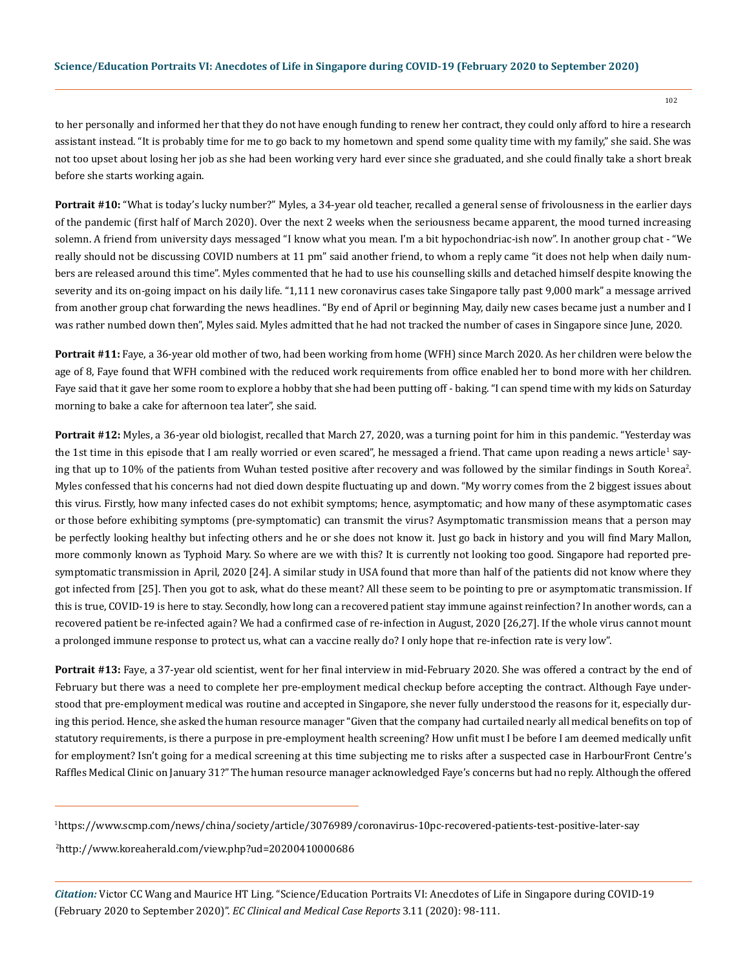to her personally and informed her that they do not have enough funding to renew her contract, they could only afford to hire a research assistant instead. "It is probably time for me to go back to my hometown and spend some quality time with my family," she said. She was not too upset about losing her job as she had been working very hard ever since she graduated, and she could finally take a short break before she starts working again.

**Portrait #10:** "What is today's lucky number?" Myles, a 34-year old teacher, recalled a general sense of frivolousness in the earlier days of the pandemic (first half of March 2020). Over the next 2 weeks when the seriousness became apparent, the mood turned increasing solemn. A friend from university days messaged "I know what you mean. I'm a bit hypochondriac-ish now". In another group chat - "We really should not be discussing COVID numbers at 11 pm" said another friend, to whom a reply came "it does not help when daily numbers are released around this time". Myles commented that he had to use his counselling skills and detached himself despite knowing the severity and its on-going impact on his daily life. "1,111 new coronavirus cases take Singapore tally past 9,000 mark" a message arrived from another group chat forwarding the news headlines. "By end of April or beginning May, daily new cases became just a number and I was rather numbed down then", Myles said. Myles admitted that he had not tracked the number of cases in Singapore since June, 2020.

**Portrait #11:** Faye, a 36-year old mother of two, had been working from home (WFH) since March 2020. As her children were below the age of 8, Faye found that WFH combined with the reduced work requirements from office enabled her to bond more with her children. Faye said that it gave her some room to explore a hobby that she had been putting off - baking. "I can spend time with my kids on Saturday morning to bake a cake for afternoon tea later", she said.

**Portrait #12:** Myles, a 36-year old biologist, recalled that March 27, 2020, was a turning point for him in this pandemic. "Yesterday was the 1st time in this episode that I am really worried or even scared", he messaged a friend. That came upon reading a news article<sup>1</sup> saying that up to 10% of the patients from Wuhan tested positive after recovery and was followed by the similar findings in South Korea<sup>2</sup>. Myles confessed that his concerns had not died down despite fluctuating up and down. "My worry comes from the 2 biggest issues about this virus. Firstly, how many infected cases do not exhibit symptoms; hence, asymptomatic; and how many of these asymptomatic cases or those before exhibiting symptoms (pre-symptomatic) can transmit the virus? Asymptomatic transmission means that a person may be perfectly looking healthy but infecting others and he or she does not know it. Just go back in history and you will find Mary Mallon, more commonly known as Typhoid Mary. So where are we with this? It is currently not looking too good. Singapore had reported presymptomatic transmission in April, 2020 [24]. A similar study in USA found that more than half of the patients did not know where they got infected from [25]. Then you got to ask, what do these meant? All these seem to be pointing to pre or asymptomatic transmission. If this is true, COVID-19 is here to stay. Secondly, how long can a recovered patient stay immune against reinfection? In another words, can a recovered patient be re-infected again? We had a confirmed case of re-infection in August, 2020 [26,27]. If the whole virus cannot mount a prolonged immune response to protect us, what can a vaccine really do? I only hope that re-infection rate is very low".

**Portrait #13:** Faye, a 37-year old scientist, went for her final interview in mid-February 2020. She was offered a contract by the end of February but there was a need to complete her pre-employment medical checkup before accepting the contract. Although Faye understood that pre-employment medical was routine and accepted in Singapore, she never fully understood the reasons for it, especially during this period. Hence, she asked the human resource manager "Given that the company had curtailed nearly all medical benefits on top of statutory requirements, is there a purpose in pre-employment health screening? How unfit must I be before I am deemed medically unfit for employment? Isn't going for a medical screening at this time subjecting me to risks after a suspected case in HarbourFront Centre's Raffles Medical Clinic on January 31?" The human resource manager acknowledged Faye's concerns but had no reply. Although the offered

2 http://www.koreaherald.com/view.php?ud=20200410000686

*Citation:* Victor CC Wang and Maurice HT Ling. "Science/Education Portraits VI: Anecdotes of Life in Singapore during COVID-19 (February 2020 to September 2020)". *EC Clinical and Medical Case Reports* 3.11 (2020): 98-111.

<sup>1</sup> https://www.scmp.com/news/china/society/article/3076989/coronavirus-10pc-recovered-patients-test-positive-later-say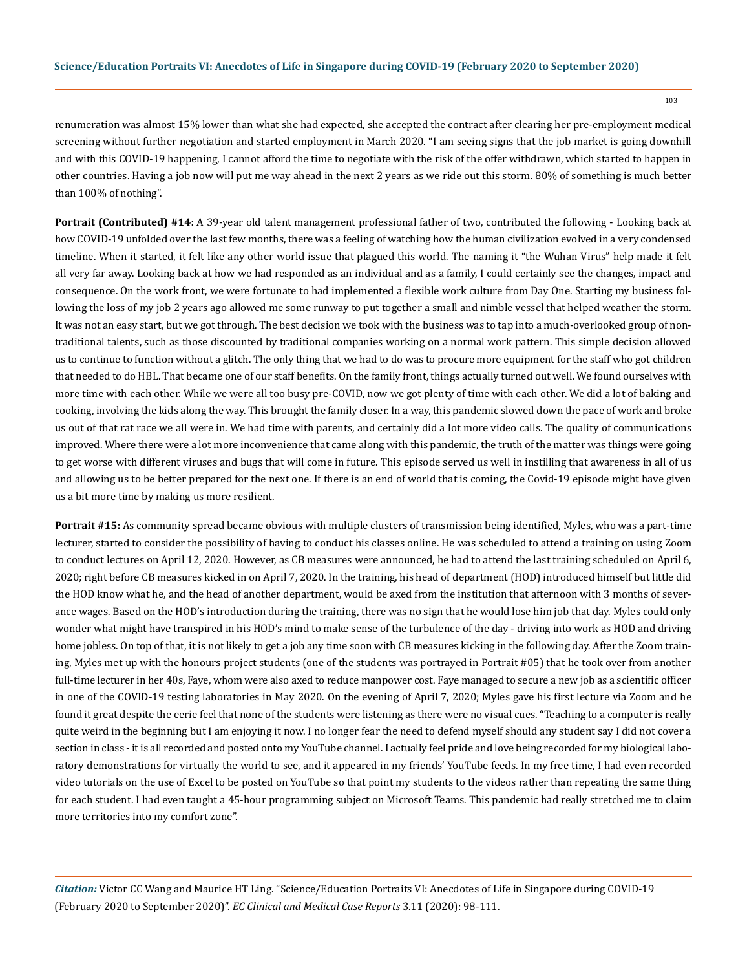renumeration was almost 15% lower than what she had expected, she accepted the contract after clearing her pre-employment medical screening without further negotiation and started employment in March 2020. "I am seeing signs that the job market is going downhill and with this COVID-19 happening, I cannot afford the time to negotiate with the risk of the offer withdrawn, which started to happen in other countries. Having a job now will put me way ahead in the next 2 years as we ride out this storm. 80% of something is much better than 100% of nothing".

**Portrait (Contributed) #14:** A 39-year old talent management professional father of two, contributed the following - Looking back at how COVID-19 unfolded over the last few months, there was a feeling of watching how the human civilization evolved in a very condensed timeline. When it started, it felt like any other world issue that plagued this world. The naming it "the Wuhan Virus" help made it felt all very far away. Looking back at how we had responded as an individual and as a family, I could certainly see the changes, impact and consequence. On the work front, we were fortunate to had implemented a flexible work culture from Day One. Starting my business following the loss of my job 2 years ago allowed me some runway to put together a small and nimble vessel that helped weather the storm. It was not an easy start, but we got through. The best decision we took with the business was to tap into a much-overlooked group of nontraditional talents, such as those discounted by traditional companies working on a normal work pattern. This simple decision allowed us to continue to function without a glitch. The only thing that we had to do was to procure more equipment for the staff who got children that needed to do HBL. That became one of our staff benefits. On the family front, things actually turned out well. We found ourselves with more time with each other. While we were all too busy pre-COVID, now we got plenty of time with each other. We did a lot of baking and cooking, involving the kids along the way. This brought the family closer. In a way, this pandemic slowed down the pace of work and broke us out of that rat race we all were in. We had time with parents, and certainly did a lot more video calls. The quality of communications improved. Where there were a lot more inconvenience that came along with this pandemic, the truth of the matter was things were going to get worse with different viruses and bugs that will come in future. This episode served us well in instilling that awareness in all of us and allowing us to be better prepared for the next one. If there is an end of world that is coming, the Covid-19 episode might have given us a bit more time by making us more resilient.

**Portrait #15:** As community spread became obvious with multiple clusters of transmission being identified, Myles, who was a part-time lecturer, started to consider the possibility of having to conduct his classes online. He was scheduled to attend a training on using Zoom to conduct lectures on April 12, 2020. However, as CB measures were announced, he had to attend the last training scheduled on April 6, 2020; right before CB measures kicked in on April 7, 2020. In the training, his head of department (HOD) introduced himself but little did the HOD know what he, and the head of another department, would be axed from the institution that afternoon with 3 months of severance wages. Based on the HOD's introduction during the training, there was no sign that he would lose him job that day. Myles could only wonder what might have transpired in his HOD's mind to make sense of the turbulence of the day - driving into work as HOD and driving home jobless. On top of that, it is not likely to get a job any time soon with CB measures kicking in the following day. After the Zoom training, Myles met up with the honours project students (one of the students was portrayed in Portrait #05) that he took over from another full-time lecturer in her 40s, Faye, whom were also axed to reduce manpower cost. Faye managed to secure a new job as a scientific officer in one of the COVID-19 testing laboratories in May 2020. On the evening of April 7, 2020; Myles gave his first lecture via Zoom and he found it great despite the eerie feel that none of the students were listening as there were no visual cues. "Teaching to a computer is really quite weird in the beginning but I am enjoying it now. I no longer fear the need to defend myself should any student say I did not cover a section in class - it is all recorded and posted onto my YouTube channel. I actually feel pride and love being recorded for my biological laboratory demonstrations for virtually the world to see, and it appeared in my friends' YouTube feeds. In my free time, I had even recorded video tutorials on the use of Excel to be posted on YouTube so that point my students to the videos rather than repeating the same thing for each student. I had even taught a 45-hour programming subject on Microsoft Teams. This pandemic had really stretched me to claim more territories into my comfort zone".

*Citation:* Victor CC Wang and Maurice HT Ling. "Science/Education Portraits VI: Anecdotes of Life in Singapore during COVID-19 (February 2020 to September 2020)". *EC Clinical and Medical Case Reports* 3.11 (2020): 98-111.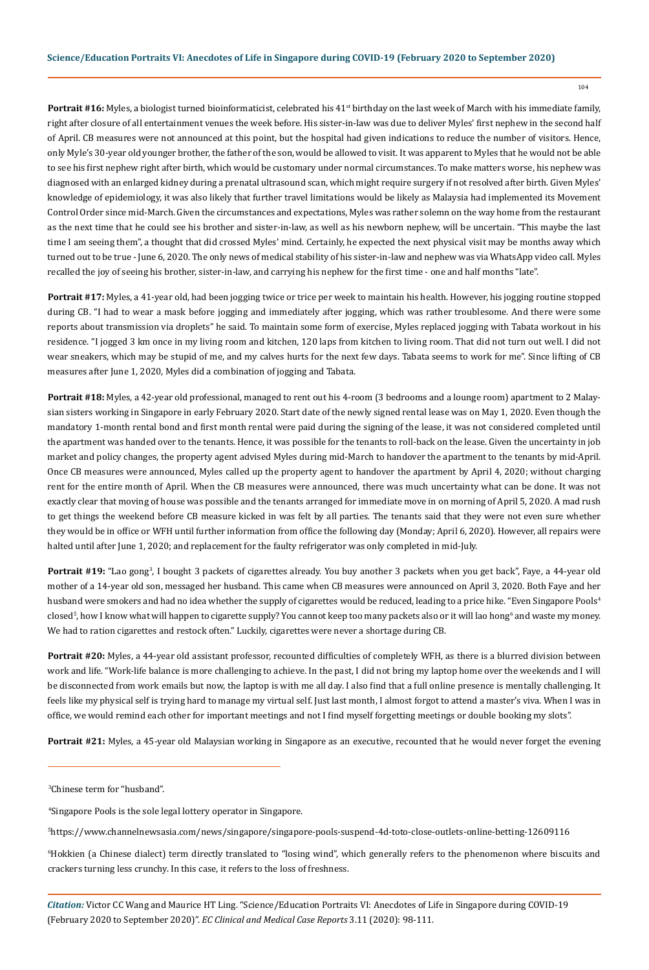Portrait #16: Myles, a biologist turned bioinformaticist, celebrated his 41<sup>st</sup> birthday on the last week of March with his immediate family, right after closure of all entertainment venues the week before. His sister-in-law was due to deliver Myles' first nephew in the second half of April. CB measures were not announced at this point, but the hospital had given indications to reduce the number of visitors. Hence, only Myle's 30-year old younger brother, the father of the son, would be allowed to visit. It was apparent to Myles that he would not be able to see his first nephew right after birth, which would be customary under normal circumstances. To make matters worse, his nephew was diagnosed with an enlarged kidney during a prenatal ultrasound scan, which might require surgery if not resolved after birth. Given Myles' knowledge of epidemiology, it was also likely that further travel limitations would be likely as Malaysia had implemented its Movement Control Order since mid-March. Given the circumstances and expectations, Myles was rather solemn on the way home from the restaurant as the next time that he could see his brother and sister-in-law, as well as his newborn nephew, will be uncertain. "This maybe the last time I am seeing them", a thought that did crossed Myles' mind. Certainly, he expected the next physical visit may be months away which turned out to be true - June 6, 2020. The only news of medical stability of his sister-in-law and nephew was via WhatsApp video call. Myles recalled the joy of seeing his brother, sister-in-law, and carrying his nephew for the first time - one and half months "late".

**Portrait #17:** Myles, a 41-year old, had been jogging twice or trice per week to maintain his health. However, his jogging routine stopped during CB. "I had to wear a mask before jogging and immediately after jogging, which was rather troublesome. And there were some reports about transmission via droplets" he said. To maintain some form of exercise, Myles replaced jogging with Tabata workout in his residence. "I jogged 3 km once in my living room and kitchen, 120 laps from kitchen to living room. That did not turn out well. I did not wear sneakers, which may be stupid of me, and my calves hurts for the next few days. Tabata seems to work for me". Since lifting of CB measures after June 1, 2020, Myles did a combination of jogging and Tabata.

**Portrait #18:** Myles, a 42-year old professional, managed to rent out his 4-room (3 bedrooms and a lounge room) apartment to 2 Malaysian sisters working in Singapore in early February 2020. Start date of the newly signed rental lease was on May 1, 2020. Even though the mandatory 1-month rental bond and first month rental were paid during the signing of the lease, it was not considered completed until the apartment was handed over to the tenants. Hence, it was possible for the tenants to roll-back on the lease. Given the uncertainty in job market and policy changes, the property agent advised Myles during mid-March to handover the apartment to the tenants by mid-April. Once CB measures were announced, Myles called up the property agent to handover the apartment by April 4, 2020; without charging rent for the entire month of April. When the CB measures were announced, there was much uncertainty what can be done. It was not exactly clear that moving of house was possible and the tenants arranged for immediate move in on morning of April 5, 2020. A mad rush to get things the weekend before CB measure kicked in was felt by all parties. The tenants said that they were not even sure whether they would be in office or WFH until further information from office the following day (Monday; April 6, 2020). However, all repairs were halted until after June 1, 2020; and replacement for the faulty refrigerator was only completed in mid-July.

**Portrait #19:** "Lao gong3 , I bought 3 packets of cigarettes already. You buy another 3 packets when you get back", Faye, a 44-year old mother of a 14-year old son, messaged her husband. This came when CB measures were announced on April 3, 2020. Both Faye and her husband were smokers and had no idea whether the supply of cigarettes would be reduced, leading to a price hike. "Even Singapore Pools<sup>4</sup> closed<sup>s</sup>, how I know what will happen to cigarette supply? You cannot keep too many packets also or it will lao hong<sup>6</sup> and waste my money. We had to ration cigarettes and restock often." Luckily, cigarettes were never a shortage during CB.

**Portrait #20:** Myles, a 44-year old assistant professor, recounted difficulties of completely WFH, as there is a blurred division between work and life. "Work-life balance is more challenging to achieve. In the past, I did not bring my laptop home over the weekends and I will be disconnected from work emails but now, the laptop is with me all day. I also find that a full online presence is mentally challenging. It feels like my physical self is trying hard to manage my virtual self. Just last month, I almost forgot to attend a master's viva. When I was in office, we would remind each other for important meetings and not I find myself forgetting meetings or double booking my slots".

**Portrait #21:** Myles, a 45-year old Malaysian working in Singapore as an executive, recounted that he would never forget the evening

3 Chinese term for "husband".

4 Singapore Pools is the sole legal lottery operator in Singapore.

5 https://www.channelnewsasia.com/news/singapore/singapore-pools-suspend-4d-toto-close-outlets-online-betting-12609116

6 Hokkien (a Chinese dialect) term directly translated to "losing wind", which generally refers to the phenomenon where biscuits and crackers turning less crunchy. In this case, it refers to the loss of freshness.

*Citation:* Victor CC Wang and Maurice HT Ling. "Science/Education Portraits VI: Anecdotes of Life in Singapore during COVID-19 (February 2020 to September 2020)". *EC Clinical and Medical Case Reports* 3.11 (2020): 98-111.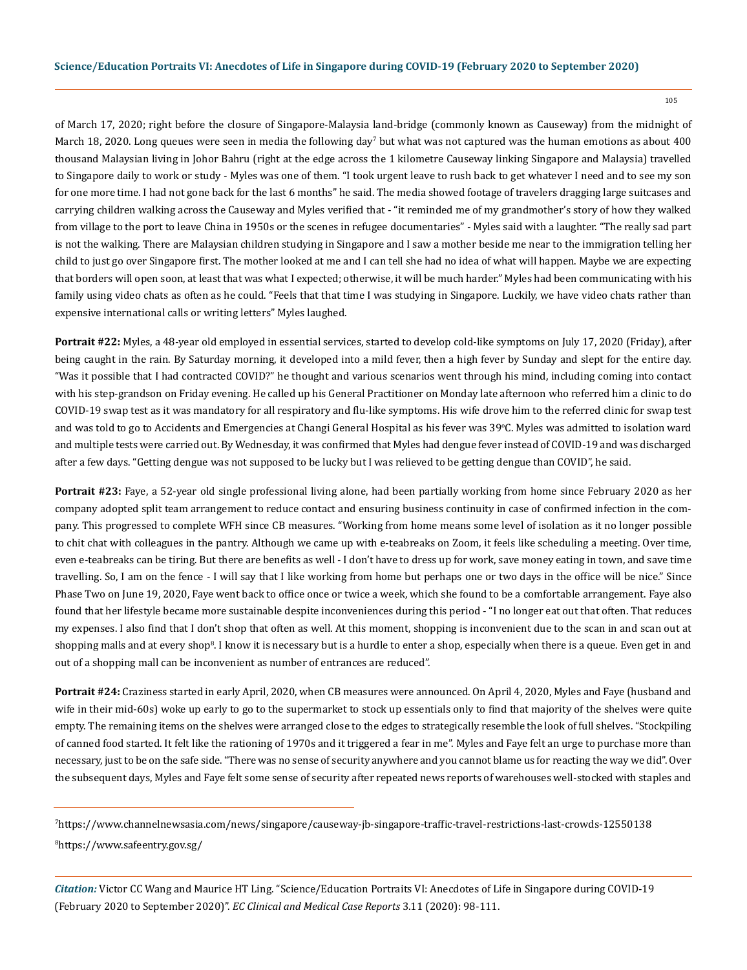of March 17, 2020; right before the closure of Singapore-Malaysia land-bridge (commonly known as Causeway) from the midnight of March 18, 2020. Long queues were seen in media the following day<sup>7</sup> but what was not captured was the human emotions as about 400 thousand Malaysian living in Johor Bahru (right at the edge across the 1 kilometre Causeway linking Singapore and Malaysia) travelled to Singapore daily to work or study - Myles was one of them. "I took urgent leave to rush back to get whatever I need and to see my son for one more time. I had not gone back for the last 6 months" he said. The media showed footage of travelers dragging large suitcases and carrying children walking across the Causeway and Myles verified that - "it reminded me of my grandmother's story of how they walked from village to the port to leave China in 1950s or the scenes in refugee documentaries" - Myles said with a laughter. "The really sad part is not the walking. There are Malaysian children studying in Singapore and I saw a mother beside me near to the immigration telling her child to just go over Singapore first. The mother looked at me and I can tell she had no idea of what will happen. Maybe we are expecting that borders will open soon, at least that was what I expected; otherwise, it will be much harder." Myles had been communicating with his family using video chats as often as he could. "Feels that that time I was studying in Singapore. Luckily, we have video chats rather than expensive international calls or writing letters" Myles laughed.

**Portrait #22:** Myles, a 48-year old employed in essential services, started to develop cold-like symptoms on July 17, 2020 (Friday), after being caught in the rain. By Saturday morning, it developed into a mild fever, then a high fever by Sunday and slept for the entire day. "Was it possible that I had contracted COVID?" he thought and various scenarios went through his mind, including coming into contact with his step-grandson on Friday evening. He called up his General Practitioner on Monday late afternoon who referred him a clinic to do COVID-19 swap test as it was mandatory for all respiratory and flu-like symptoms. His wife drove him to the referred clinic for swap test and was told to go to Accidents and Emergencies at Changi General Hospital as his fever was 39°C. Myles was admitted to isolation ward and multiple tests were carried out. By Wednesday, it was confirmed that Myles had dengue fever instead of COVID-19 and was discharged after a few days. "Getting dengue was not supposed to be lucky but I was relieved to be getting dengue than COVID", he said.

**Portrait #23:** Faye, a 52-year old single professional living alone, had been partially working from home since February 2020 as her company adopted split team arrangement to reduce contact and ensuring business continuity in case of confirmed infection in the company. This progressed to complete WFH since CB measures. "Working from home means some level of isolation as it no longer possible to chit chat with colleagues in the pantry. Although we came up with e-teabreaks on Zoom, it feels like scheduling a meeting. Over time, even e-teabreaks can be tiring. But there are benefits as well - I don't have to dress up for work, save money eating in town, and save time travelling. So, I am on the fence - I will say that I like working from home but perhaps one or two days in the office will be nice." Since Phase Two on June 19, 2020, Faye went back to office once or twice a week, which she found to be a comfortable arrangement. Faye also found that her lifestyle became more sustainable despite inconveniences during this period - "I no longer eat out that often. That reduces my expenses. I also find that I don't shop that often as well. At this moment, shopping is inconvenient due to the scan in and scan out at shopping malls and at every shop<sup>8</sup>. I know it is necessary but is a hurdle to enter a shop, especially when there is a queue. Even get in and out of a shopping mall can be inconvenient as number of entrances are reduced".

**Portrait #24:** Craziness started in early April, 2020, when CB measures were announced. On April 4, 2020, Myles and Faye (husband and wife in their mid-60s) woke up early to go to the supermarket to stock up essentials only to find that majority of the shelves were quite empty. The remaining items on the shelves were arranged close to the edges to strategically resemble the look of full shelves. "Stockpiling of canned food started. It felt like the rationing of 1970s and it triggered a fear in me". Myles and Faye felt an urge to purchase more than necessary, just to be on the safe side. "There was no sense of security anywhere and you cannot blame us for reacting the way we did". Over the subsequent days, Myles and Faye felt some sense of security after repeated news reports of warehouses well-stocked with staples and

7 https://www.channelnewsasia.com/news/singapore/causeway-jb-singapore-traffic-travel-restrictions-last-crowds-12550138 8 https://www.safeentry.gov.sg/

*Citation:* Victor CC Wang and Maurice HT Ling. "Science/Education Portraits VI: Anecdotes of Life in Singapore during COVID-19 (February 2020 to September 2020)". *EC Clinical and Medical Case Reports* 3.11 (2020): 98-111.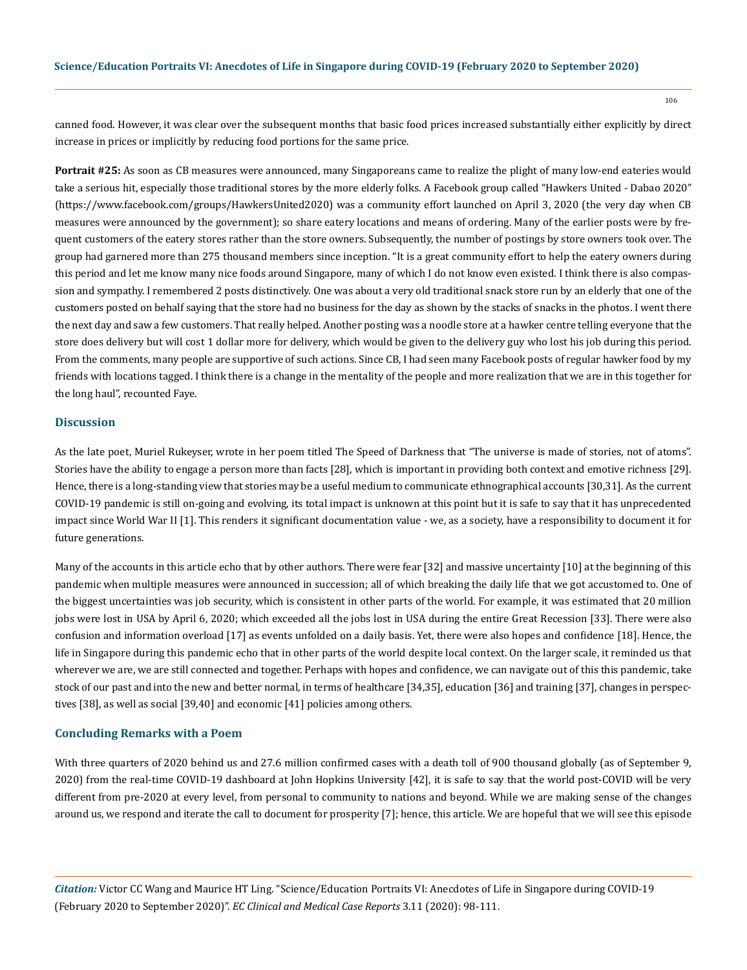canned food. However, it was clear over the subsequent months that basic food prices increased substantially either explicitly by direct increase in prices or implicitly by reducing food portions for the same price.

**Portrait #25:** As soon as CB measures were announced, many Singaporeans came to realize the plight of many low-end eateries would take a serious hit, especially those traditional stores by the more elderly folks. A Facebook group called "Hawkers United - Dabao 2020" (https://www.facebook.com/groups/HawkersUnited2020) was a community effort launched on April 3, 2020 (the very day when CB measures were announced by the government); so share eatery locations and means of ordering. Many of the earlier posts were by frequent customers of the eatery stores rather than the store owners. Subsequently, the number of postings by store owners took over. The group had garnered more than 275 thousand members since inception. "It is a great community effort to help the eatery owners during this period and let me know many nice foods around Singapore, many of which I do not know even existed. I think there is also compassion and sympathy. I remembered 2 posts distinctively. One was about a very old traditional snack store run by an elderly that one of the customers posted on behalf saying that the store had no business for the day as shown by the stacks of snacks in the photos. I went there the next day and saw a few customers. That really helped. Another posting was a noodle store at a hawker centre telling everyone that the store does delivery but will cost 1 dollar more for delivery, which would be given to the delivery guy who lost his job during this period. From the comments, many people are supportive of such actions. Since CB, I had seen many Facebook posts of regular hawker food by my friends with locations tagged. I think there is a change in the mentality of the people and more realization that we are in this together for the long haul", recounted Faye.

## **Discussion**

As the late poet, Muriel Rukeyser, wrote in her poem titled The Speed of Darkness that "The universe is made of stories, not of atoms". Stories have the ability to engage a person more than facts [28], which is important in providing both context and emotive richness [29]. Hence, there is a long-standing view that stories may be a useful medium to communicate ethnographical accounts [30,31]. As the current COVID-19 pandemic is still on-going and evolving, its total impact is unknown at this point but it is safe to say that it has unprecedented impact since World War II [1]. This renders it significant documentation value - we, as a society, have a responsibility to document it for future generations.

Many of the accounts in this article echo that by other authors. There were fear [32] and massive uncertainty [10] at the beginning of this pandemic when multiple measures were announced in succession; all of which breaking the daily life that we got accustomed to. One of the biggest uncertainties was job security, which is consistent in other parts of the world. For example, it was estimated that 20 million jobs were lost in USA by April 6, 2020; which exceeded all the jobs lost in USA during the entire Great Recession [33]. There were also confusion and information overload [17] as events unfolded on a daily basis. Yet, there were also hopes and confidence [18]. Hence, the life in Singapore during this pandemic echo that in other parts of the world despite local context. On the larger scale, it reminded us that wherever we are, we are still connected and together. Perhaps with hopes and confidence, we can navigate out of this this pandemic, take stock of our past and into the new and better normal, in terms of healthcare [34,35], education [36] and training [37], changes in perspectives [38], as well as social [39,40] and economic [41] policies among others.

#### **Concluding Remarks with a Poem**

With three quarters of 2020 behind us and 27.6 million confirmed cases with a death toll of 900 thousand globally (as of September 9, 2020) from the real-time COVID-19 dashboard at John Hopkins University [42], it is safe to say that the world post-COVID will be very different from pre-2020 at every level, from personal to community to nations and beyond. While we are making sense of the changes around us, we respond and iterate the call to document for prosperity [7]; hence, this article. We are hopeful that we will see this episode

*Citation:* Victor CC Wang and Maurice HT Ling. "Science/Education Portraits VI: Anecdotes of Life in Singapore during COVID-19 (February 2020 to September 2020)". *EC Clinical and Medical Case Reports* 3.11 (2020): 98-111.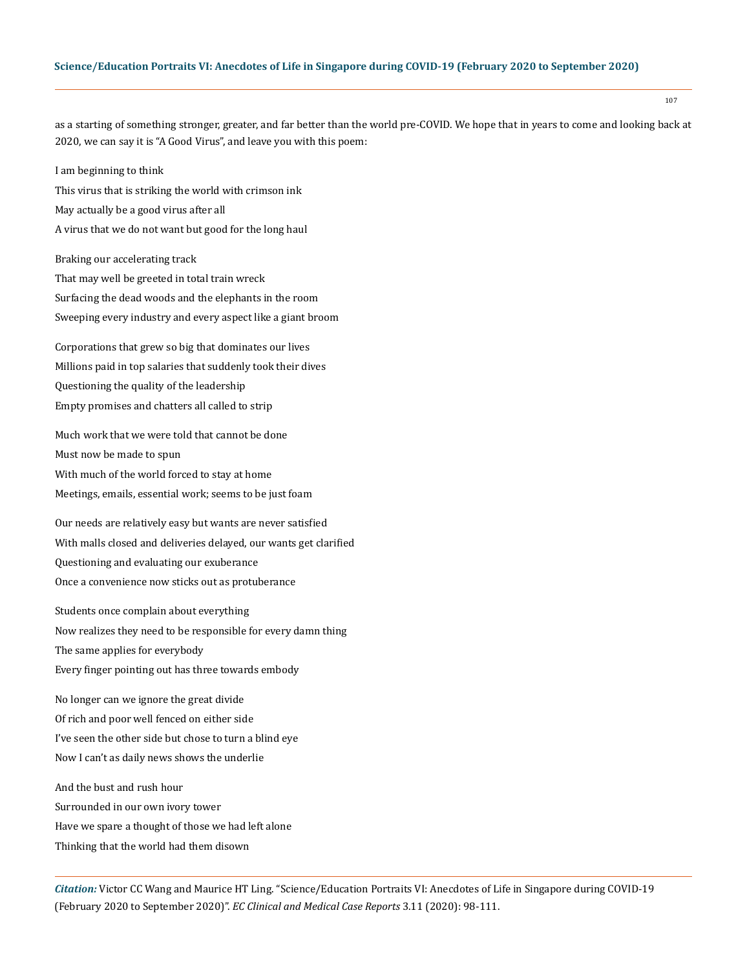107

as a starting of something stronger, greater, and far better than the world pre-COVID. We hope that in years to come and looking back at 2020, we can say it is "A Good Virus", and leave you with this poem:

I am beginning to think

This virus that is striking the world with crimson ink May actually be a good virus after all A virus that we do not want but good for the long haul

Braking our accelerating track That may well be greeted in total train wreck Surfacing the dead woods and the elephants in the room Sweeping every industry and every aspect like a giant broom

Corporations that grew so big that dominates our lives Millions paid in top salaries that suddenly took their dives Questioning the quality of the leadership Empty promises and chatters all called to strip

Much work that we were told that cannot be done Must now be made to spun With much of the world forced to stay at home Meetings, emails, essential work; seems to be just foam

Our needs are relatively easy but wants are never satisfied With malls closed and deliveries delayed, our wants get clarified Questioning and evaluating our exuberance Once a convenience now sticks out as protuberance

Students once complain about everything Now realizes they need to be responsible for every damn thing The same applies for everybody Every finger pointing out has three towards embody

No longer can we ignore the great divide Of rich and poor well fenced on either side I've seen the other side but chose to turn a blind eye Now I can't as daily news shows the underlie

And the bust and rush hour Surrounded in our own ivory tower Have we spare a thought of those we had left alone Thinking that the world had them disown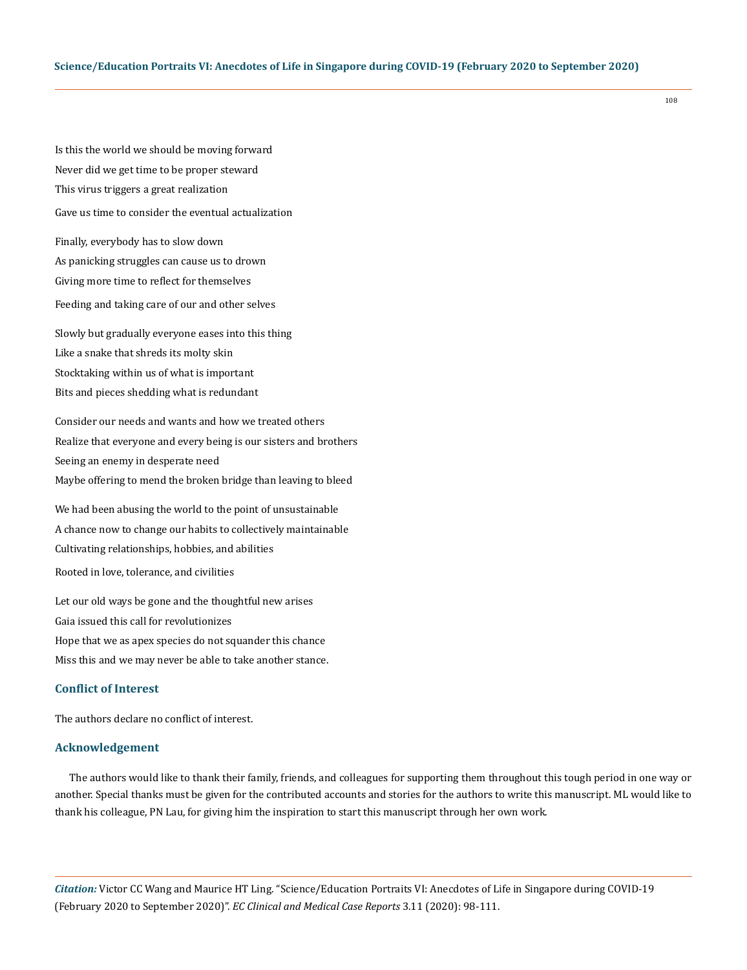Is this the world we should be moving forward Never did we get time to be proper steward This virus triggers a great realization Gave us time to consider the eventual actualization

Finally, everybody has to slow down As panicking struggles can cause us to drown Giving more time to reflect for themselves Feeding and taking care of our and other selves

Slowly but gradually everyone eases into this thing Like a snake that shreds its molty skin Stocktaking within us of what is important Bits and pieces shedding what is redundant

Consider our needs and wants and how we treated others Realize that everyone and every being is our sisters and brothers Seeing an enemy in desperate need Maybe offering to mend the broken bridge than leaving to bleed

We had been abusing the world to the point of unsustainable A chance now to change our habits to collectively maintainable Cultivating relationships, hobbies, and abilities Rooted in love, tolerance, and civilities

Let our old ways be gone and the thoughtful new arises Gaia issued this call for revolutionizes Hope that we as apex species do not squander this chance Miss this and we may never be able to take another stance.

# **Conflict of Interest**

The authors declare no conflict of interest.

#### **Acknowledgement**

The authors would like to thank their family, friends, and colleagues for supporting them throughout this tough period in one way or another. Special thanks must be given for the contributed accounts and stories for the authors to write this manuscript. ML would like to thank his colleague, PN Lau, for giving him the inspiration to start this manuscript through her own work.

*Citation:* Victor CC Wang and Maurice HT Ling. "Science/Education Portraits VI: Anecdotes of Life in Singapore during COVID-19 (February 2020 to September 2020)". *EC Clinical and Medical Case Reports* 3.11 (2020): 98-111.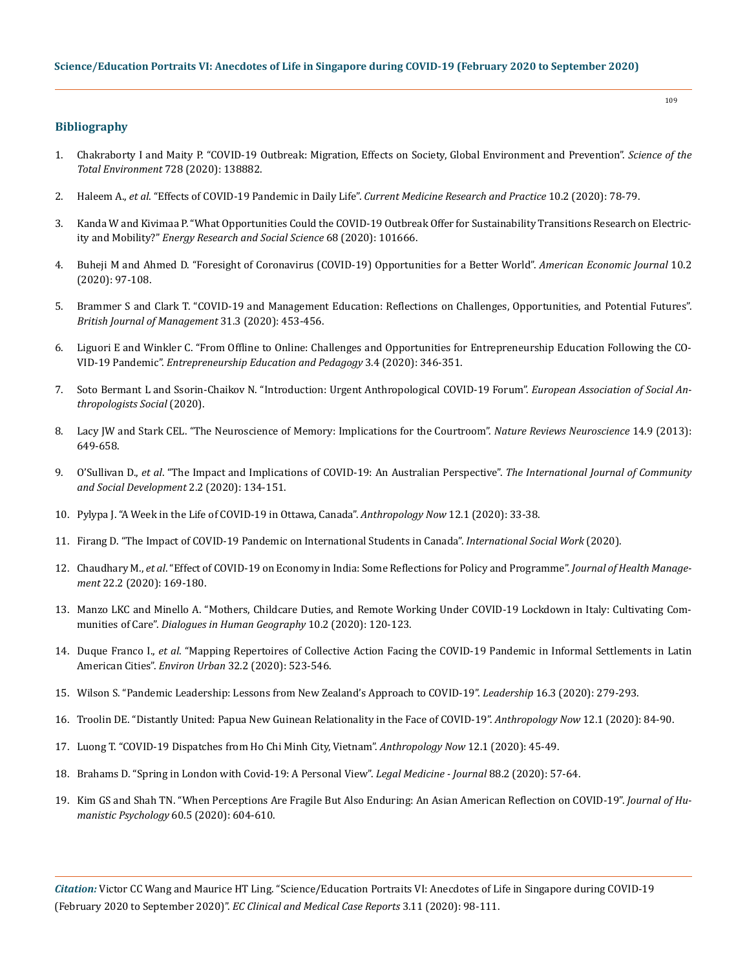## **Bibliography**

- 1. [Chakraborty I and Maity P. "COVID-19 Outbreak: Migration, Effects on Society, Global Environment and Prevention".](https://www.sciencedirect.com/science/article/abs/pii/S0048969720323998) *Science of the [Total Environment](https://www.sciencedirect.com/science/article/abs/pii/S0048969720323998)* 728 (2020): 138882.
- 2. Haleem A., *et al*. "Effects of COVID-19 Pandemic in Daily Life". *[Current Medicine Research and Practice](https://www.ncbi.nlm.nih.gov/pmc/articles/PMC7147210/)* 10.2 (2020): 78-79.
- 3. [Kanda W and Kivimaa P. "What Opportunities Could the COVID-19 Outbreak Offer for Sustainability Transitions Research on Electric](https://www.sciencedirect.com/science/article/pii/S2214629620302413)ity and Mobility?" *[Energy Research and Social Science](https://www.sciencedirect.com/science/article/pii/S2214629620302413)* 68 (2020): 101666.
- 4. [Buheji M and Ahmed D. "Foresight of Coronavirus \(COVID-19\) Opportunities for a Better World".](https://www.researchgate.net/publication/339973652_Foresight_of_Coronavirus_COVID-19_Opportunities_for_a_Better_World) *American Economic Journal* 10.2 [\(2020\): 97-108.](https://www.researchgate.net/publication/339973652_Foresight_of_Coronavirus_COVID-19_Opportunities_for_a_Better_World)
- 5. [Brammer S and Clark T. "COVID‐19 and Management Education: Reflections on Challenges, Opportunities, and Potential Futures".](https://onlinelibrary.wiley.com/doi/full/10.1111/1467-8551.12425)  *[British Journal of Management](https://onlinelibrary.wiley.com/doi/full/10.1111/1467-8551.12425)* 31.3 (2020): 453-456.
- 6. [Liguori E and Winkler C. "From Offline to Online: Challenges and Opportunities for Entrepreneurship Education Following the CO](https://journals.sagepub.com/doi/full/10.1177/2515127420916738)-VID-19 Pandemic". *[Entrepreneurship Education and Pedagogy](https://journals.sagepub.com/doi/full/10.1177/2515127420916738)* 3.4 (2020): 346-351.
- 7. [Soto Bermant L and Ssorin-Chaikov N. "Introduction: Urgent Anthropological COVID-19 Forum".](https://onlinelibrary.wiley.com/doi/10.1111/1469-8676.12901) *European Association of Social An[thropologists Social](https://onlinelibrary.wiley.com/doi/10.1111/1469-8676.12901)* (2020).
- 8. [Lacy JW and Stark CEL. "The Neuroscience of Memory: Implications for the Courtroom".](https://www.nature.com/articles/nrn3563) *Nature Reviews Neuroscience* 14.9 (2013): [649-658.](https://www.nature.com/articles/nrn3563)
- 9. O'Sullivan D., *et al*[. "The Impact and Implications of COVID-19: An Australian Perspective".](https://research-repository.uwa.edu.au/en/publications/the-iimpact-and-implications-of-covid-19-an-australian-perspectiv) *The International Journal of Community [and Social Development](https://research-repository.uwa.edu.au/en/publications/the-iimpact-and-implications-of-covid-19-an-australian-perspectiv)* 2.2 (2020): 134-151.
- 10. [Pylypa J. "A Week in the Life of COVID-19 in Ottawa, Canada".](https://www.tandfonline.com/doi/full/10.1080/19428200.2020.1761208) *Anthropology Now* 12.1 (2020): 33-38.
- 11. [Firang D. "The Impact of COVID-19 Pandemic on International Students in Canada".](https://journals.sagepub.com/doi/full/10.1177/0020872820940030) *International Social Work* (2020).
- 12. Chaudhary M., *et al*[. "Effect of COVID-19 on Economy in India: Some Reflections for Policy and Programme".](https://journals.sagepub.com/doi/full/10.1177/0972063420935541) *Journal of Health Management* [22.2 \(2020\): 169-180.](https://journals.sagepub.com/doi/full/10.1177/0972063420935541)
- 13. [Manzo LKC and Minello A. "Mothers, Childcare Duties, and Remote Working Under COVID-19 Lockdown in Italy: Cultivating Com](https://journals.sagepub.com/doi/full/10.1177/2043820620934268)munities of Care". *[Dialogues in Human Geography](https://journals.sagepub.com/doi/full/10.1177/2043820620934268)* 10.2 (2020): 120-123.
- 14. Duque Franco I., *et al*[. "Mapping Repertoires of Collective Action Facing the COVID-19 Pandemic in Informal Settlements in Latin](https://journals.sagepub.com/doi/full/10.1177/0956247820944823)  American Cities". *Environ Urban* [32.2 \(2020\): 523-546.](https://journals.sagepub.com/doi/full/10.1177/0956247820944823)
- 15. [Wilson S. "Pandemic Leadership: Lessons from New Zealand's Approach to COVID-19".](https://journals.sagepub.com/doi/full/10.1177/1742715020929151) *Leadership* 16.3 (2020): 279-293.
- 16. [Troolin DE. "Distantly United: Papua New Guinean Relationality in the Face of COVID-19".](https://www.tandfonline.com/doi/full/10.1080/19428200.2020.1761215) *Anthropology Now* 12.1 (2020): 84-90.
- 17. [Luong T. "COVID-19 Dispatches from Ho Chi Minh City, Vietnam".](https://www.tandfonline.com/doi/abs/10.1080/19428200.2020.1761209?journalCode=uann20) *Anthropology Now* 12.1 (2020): 45-49.
- 18. [Brahams D. "Spring in London with Covid-19: A Personal View".](https://journals.sagepub.com/doi/full/10.1177/0025817220923692) *Legal Medicine Journal* 88.2 (2020): 57-64.
- 19. [Kim GS and Shah TN. "When Perceptions Are Fragile But Also Enduring: An Asian American Reflection on COVID-19".](https://journals.sagepub.com/doi/full/10.1177/0022167820937485) *Journal of Hu[manistic Psychology](https://journals.sagepub.com/doi/full/10.1177/0022167820937485)* 60.5 (2020): 604-610.

*Citation:* Victor CC Wang and Maurice HT Ling. "Science/Education Portraits VI: Anecdotes of Life in Singapore during COVID-19 (February 2020 to September 2020)". *EC Clinical and Medical Case Reports* 3.11 (2020): 98-111.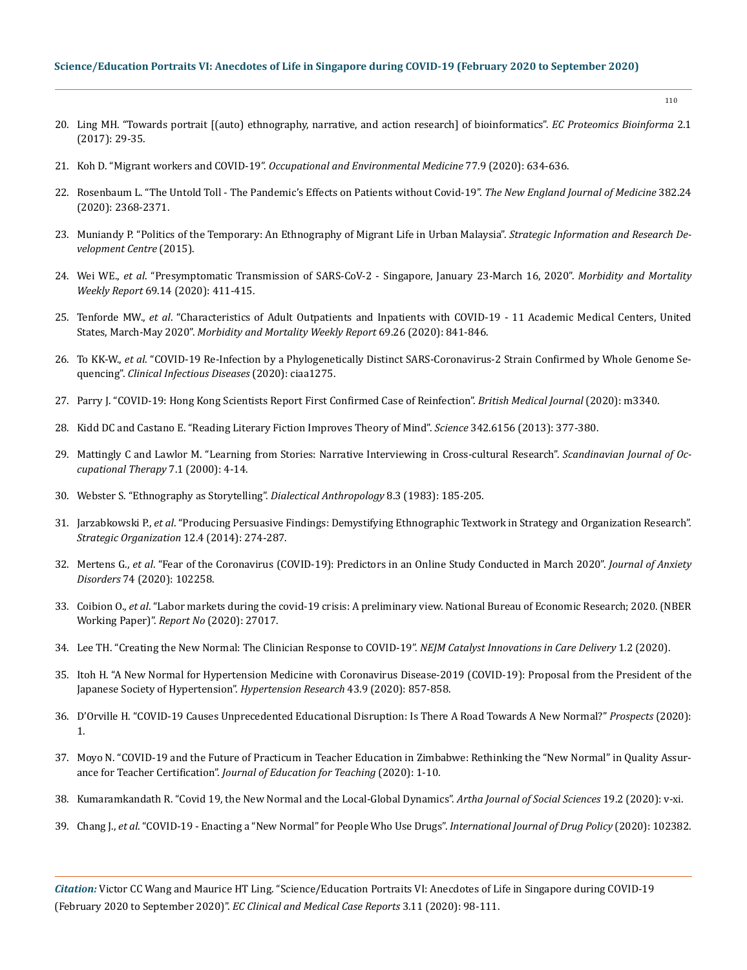- 20. [Ling MH. "Towards portrait \[\(auto\) ethnography, narrative, and action research\] of bioinformatics".](https://www.ecronicon.com/ecpb/pdf/ECPB-02-00011.pdf) *EC Proteomics Bioinforma* 2.1 [\(2017\): 29-35.](https://www.ecronicon.com/ecpb/pdf/ECPB-02-00011.pdf)
- 21. Koh D. "Migrant workers and COVID-19". *[Occupational and Environmental Medicine](https://oem.bmj.com/content/77/9/634)* 77.9 (2020): 634-636.
- 22. [Rosenbaum L. "The Untold Toll The Pandemic's Effects on Patients without Covid-19".](https://www.nejm.org/doi/full/10.1056/NEJMms2009984) *The New England Journal of Medicine* 382.24 [\(2020\): 2368-2371.](https://www.nejm.org/doi/full/10.1056/NEJMms2009984)
- 23. Muniandy P. "Politics of the Temporary: An Ethnography of Migrant Life in Urban Malaysia". *Strategic Information and Research Development Centre* (2015).
- 24. Wei WE., *et al*[. "Presymptomatic Transmission of SARS-CoV-2 Singapore, January 23-March 16, 2020".](https://www.cdc.gov/mmwr/volumes/69/wr/pdfs/mm6914e1-H.pdf?fbclid=IwAR2Tk8z-ctfb4Zp67-HehYx8ouaj7OY5TZQwTOWoq9qb9mNL8XT3dpc_vTM) *Morbidity and Mortality Weekly Report* [69.14 \(2020\): 411-415.](https://www.cdc.gov/mmwr/volumes/69/wr/pdfs/mm6914e1-H.pdf?fbclid=IwAR2Tk8z-ctfb4Zp67-HehYx8ouaj7OY5TZQwTOWoq9qb9mNL8XT3dpc_vTM)
- 25. Tenforde MW., *et al*[. "Characteristics of Adult Outpatients and Inpatients with COVID-19 11 Academic Medical Centers, United](https://www.cdc.gov/mmwr/volumes/69/wr/mm6926e3.htm)  States, March-May 2020". *[Morbidity and Mortality Weekly Report](https://www.cdc.gov/mmwr/volumes/69/wr/mm6926e3.htm)* 69.26 (2020): 841-846.
- 26. To KK-W., *et al*[. "COVID-19 Re-Infection by a Phylogenetically Distinct SARS-Coronavirus-2 Strain Confirmed by Whole Genome Se](https://pubmed.ncbi.nlm.nih.gov/32840608/)quencing". *[Clinical Infectious Diseases](https://pubmed.ncbi.nlm.nih.gov/32840608/)* (2020): ciaa1275.
- 27. [Parry J. "COVID-19: Hong Kong Scientists Report First Confirmed Case of Reinfection".](https://www.bmj.com/content/bmj/370/bmj.m3340.full.pdf) *British Medical Journal* (2020): m3340.
- 28. [Kidd DC and Castano E. "Reading Literary Fiction Improves Theory of Mind".](https://science.sciencemag.org/content/342/6156/377) *Science* 342.6156 (2013): 377-380.
- 29. [Mattingly C and Lawlor M. "Learning from Stories: Narrative Interviewing in Cross-cultural Research".](https://www.ncbi.nlm.nih.gov/pmc/articles/PMC3051197/) *Scandinavian Journal of Oc[cupational Therapy](https://www.ncbi.nlm.nih.gov/pmc/articles/PMC3051197/)* 7.1 (2000): 4-14.
- 30. [Webster S. "Ethnography as Storytelling".](https://www.jstor.org/stable/29790103) *Dialectical Anthropology* 8.3 (1983): 185-205.
- 31. Jarzabkowski P., *et al*[. "Producing Persuasive Findings: Demystifying Ethnographic Textwork in Strategy and Organization Research".](https://journals.sagepub.com/doi/full/10.1177/1476127014554575)  *[Strategic Organization](https://journals.sagepub.com/doi/full/10.1177/1476127014554575)* 12.4 (2014): 274-287.
- 32. Mertens G., *et al*[. "Fear of the Coronavirus \(COVID-19\): Predictors in an Online Study Conducted in March 2020".](https://www.researchgate.net/publication/340378068_Fear_of_the_coronavirus_COVID-19_Predictors_in_an_online_study_conducted_in_March_2020) *Journal of Anxiety Disorders* [74 \(2020\): 102258.](https://www.researchgate.net/publication/340378068_Fear_of_the_coronavirus_COVID-19_Predictors_in_an_online_study_conducted_in_March_2020)
- 33. Coibion O., *et al*[. "Labor markets during the covid-19 crisis: A preliminary view. National Bureau of Economic Research; 2020. \(NBER](https://www.nber.org/papers/w27017)  [Working Paper\)".](https://www.nber.org/papers/w27017) *Report No* (2020): 27017.
- 34. [Lee TH. "Creating the New Normal: The Clinician Response to COVID-19".](https://catalyst.nejm.org/doi/full/10.1056/CAT.20.0076) *NEJM Catalyst Innovations in Care Delivery* 1.2 (2020).
- 35. [Itoh H. "A New Normal for Hypertension Medicine with Coronavirus Disease-2019 \(COVID-19\): Proposal from the President of the](https://www.nature.com/articles/s41440-020-0497-y)  [Japanese Society of Hypertension".](https://www.nature.com/articles/s41440-020-0497-y) *Hypertension Research* 43.9 (2020): 857-858.
- 36. [D'Orville H. "COVID-19 Causes Unprecedented Educational Disruption: Is There A Road Towards A New Normal?"](https://www.ncbi.nlm.nih.gov/pmc/articles/PMC7268589/) *Prospects* (2020): [1.](https://www.ncbi.nlm.nih.gov/pmc/articles/PMC7268589/)
- 37. [Moyo N. "COVID-19 and the Future of Practicum in Teacher Education in Zimbabwe: Rethinking the "New Normal" in Quality Assur](https://search.bvsalud.org/global-literature-on-novel-coronavirus-2019-ncov/resource/en/covidwho-713898)ance for Teacher Certification". *[Journal of Education for Teaching](https://search.bvsalud.org/global-literature-on-novel-coronavirus-2019-ncov/resource/en/covidwho-713898)* (2020): 1-10.
- 38. Kumaramkandath R. "Covid 19, the New Normal and the Local-Global Dynamics". *Artha Journal of Social Sciences* 19.2 (2020): v-xi.
- 39. Chang J., *et al*[. "COVID-19 Enacting a "New Normal" for People Who Use Drugs".](https://www.sciencedirect.com/science/article/pii/S0955395920301730) *International Journal of Drug Policy* (2020): 102382.

*Citation:* Victor CC Wang and Maurice HT Ling. "Science/Education Portraits VI: Anecdotes of Life in Singapore during COVID-19 (February 2020 to September 2020)". *EC Clinical and Medical Case Reports* 3.11 (2020): 98-111.